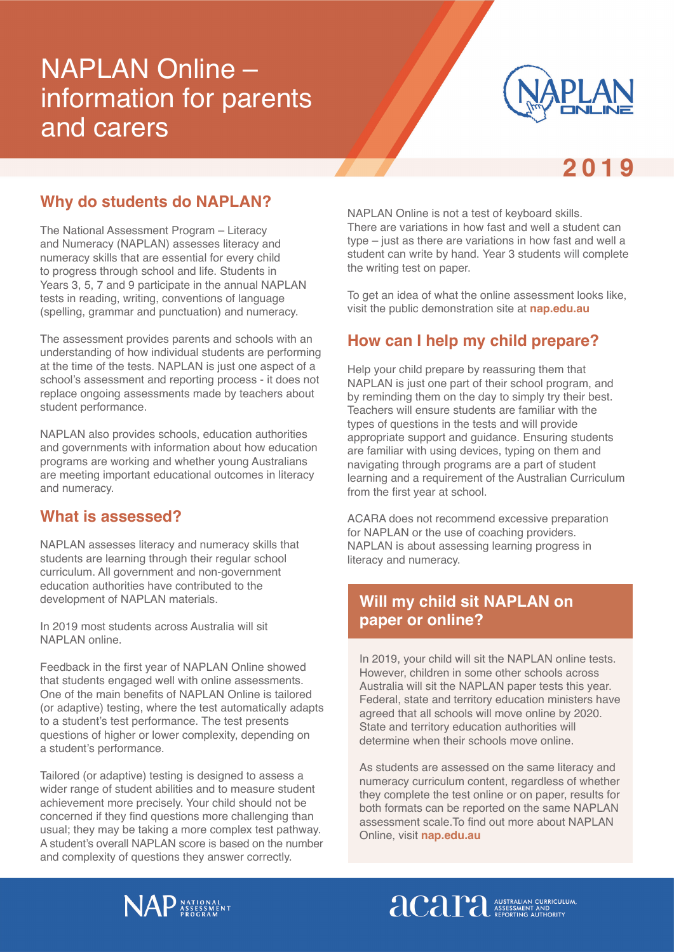# NAPLAN Online – information for parents and carers



# 2019

#### **Why do students do NAPLAN?**

The National Assessment Program – Literacy and Numeracy (NAPLAN) assesses literacy and numeracy skills that are essential for every child to progress through school and life. Students in Years 3, 5, 7 and 9 participate in the annual NAPLAN tests in reading, writing, conventions of language (spelling, grammar and punctuation) and numeracy.

The assessment provides parents and schools with an understanding of how individual students are performing at the time of the tests. NAPLAN is just one aspect of a school's assessment and reporting process - it does not replace ongoing assessments made by teachers about student performance.

NAPLAN also provides schools, education authorities and governments with information about how education programs are working and whether young Australians are meeting important educational outcomes in literacy and numeracy.

#### **What is assessed?**

NAPLAN assesses literacy and numeracy skills that students are learning through their regular school curriculum. All government and non-government education authorities have contributed to the development of NAPLAN materials.

In 2019 most students across Australia will sit NAPLAN online.

Feedback in the first year of NAPLAN Online showed that students engaged well with online assessments. One of the main benefits of NAPLAN Online is tailored (or adaptive) testing, where the test automatically adapts to a student's test performance. The test presents questions of higher or lower complexity, depending on a student's performance.

Tailored (or adaptive) testing is designed to assess a wider range of student abilities and to measure student achievement more precisely. Your child should not be concerned if they find questions more challenging than usual; they may be taking a more complex test pathway. A student's overall NAPLAN score is based on the number and complexity of questions they answer correctly.

NAPLAN Online is not a test of keyboard skills. There are variations in how fast and well a student can type – just as there are variations in how fast and well a student can write by hand. Year 3 students will complete the writing test on paper.

To get an idea of what the online assessment looks like, visit the public demonstration site at **[nap.edu.au](www.nap.edu.au)**

#### **How can I help my child prepare?**

Help your child prepare by reassuring them that NAPLAN is just one part of their school program, and by reminding them on the day to simply try their best. Teachers will ensure students are familiar with the types of questions in the tests and will provide appropriate support and guidance. Ensuring students are familiar with using devices, typing on them and navigating through programs are a part of student learning and a requirement of the Australian Curriculum from the first year at school.

ACARA does not recommend excessive preparation for NAPLAN or the use of coaching providers. NAPLAN is about assessing learning progress in literacy and numeracy.

# **Will my child sit NAPLAN on paper or online?**

In 2019, your child will sit the NAPLAN online tests. However, children in some other schools across Australia will sit the NAPLAN paper tests this year. Federal, state and territory education ministers have agreed that all schools will move online by 2020. State and territory education authorities will determine when their schools move online.

As students are assessed on the same literacy and numeracy curriculum content, regardless of whether they complete the test online or on paper, results for both formats can be reported on the same NAPLAN assessment scale.To find out more about NAPLAN Online, visit **[nap.edu.au](www.nap.edu.au)**